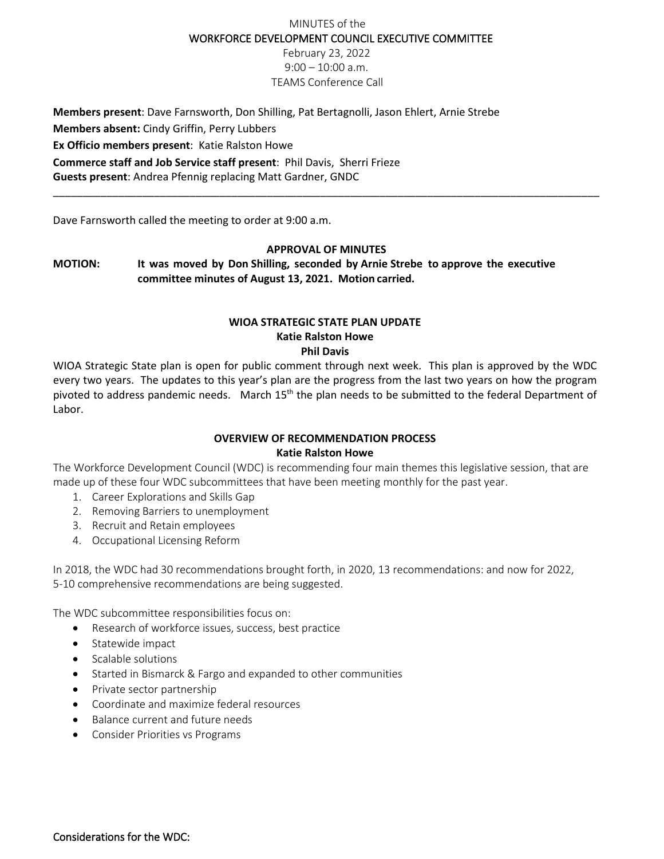# MINUTES of the WORKFORCE DEVELOPMENT COUNCIL EXECUTIVE COMMITTEE

February 23, 2022 9:00 – 10:00 a.m. TEAMS Conference Call

**Members present**: Dave Farnsworth, Don Shilling, Pat Bertagnolli, Jason Ehlert, Arnie Strebe **Members absent:** Cindy Griffin, Perry Lubbers **Ex Officio members present**: Katie Ralston Howe **Commerce staff and Job Service staff present**: Phil Davis, Sherri Frieze **Guests present**: Andrea Pfennig replacing Matt Gardner, GNDC

Dave Farnsworth called the meeting to order at 9:00 a.m.

#### **APPROVAL OF MINUTES**

\_\_\_\_\_\_\_\_\_\_\_\_\_\_\_\_\_\_\_\_\_\_\_\_\_\_\_\_\_\_\_\_\_\_\_\_\_\_\_\_\_\_\_\_\_\_\_\_\_\_\_\_\_\_\_\_\_\_\_\_\_\_\_\_\_\_\_\_\_\_\_\_\_\_\_\_\_\_\_\_\_\_\_\_\_\_\_\_\_\_\_\_

**MOTION: It was moved by Don Shilling, seconded by Arnie Strebe to approve the executive committee minutes of August 13, 2021. Motion carried.**

#### **WIOA STRATEGIC STATE PLAN UPDATE Katie Ralston Howe Phil Davis**

WIOA Strategic State plan is open for public comment through next week. This plan is approved by the WDC every two years. The updates to this year's plan are the progress from the last two years on how the program pivoted to address pandemic needs. March 15<sup>th</sup> the plan needs to be submitted to the federal Department of Labor.

### **OVERVIEW OF RECOMMENDATION PROCESS Katie Ralston Howe**

The Workforce Development Council (WDC) is recommending four main themes this legislative session, that are made up of these four WDC subcommittees that have been meeting monthly for the past year.

- 1. Career Explorations and Skills Gap
- 2. Removing Barriers to unemployment
- 3. Recruit and Retain employees
- 4. Occupational Licensing Reform

In 2018, the WDC had 30 recommendations brought forth, in 2020, 13 recommendations: and now for 2022, 5-10 comprehensive recommendations are being suggested.

The WDC subcommittee responsibilities focus on:

- Research of workforce issues, success, best practice
- Statewide impact
- Scalable solutions
- Started in Bismarck & Fargo and expanded to other communities
- Private sector partnership
- Coordinate and maximize federal resources
- Balance current and future needs
- Consider Priorities vs Programs